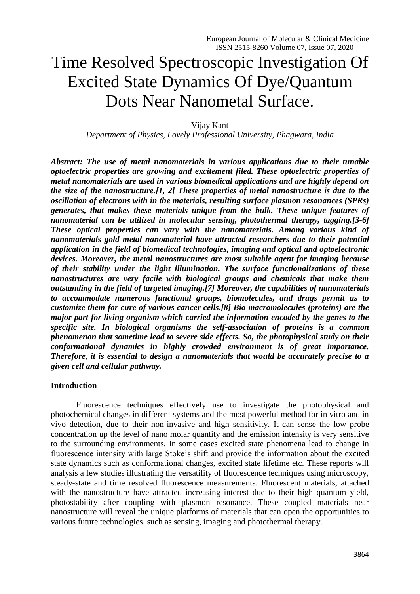# Time Resolved Spectroscopic Investigation Of Excited State Dynamics Of Dye/Quantum Dots Near Nanometal Surface.

Vijay Kant

*Department of Physics, Lovely Professional University, Phagwara, India*

*Abstract: The use of metal nanomaterials in various applications due to their tunable optoelectric properties are growing and excitement filed. These optoelectric properties of metal nanomaterials are used in various biomedical applications and are highly depend on the size of the nanostructure.[\[1,](#page-2-0) [2\]](#page-2-1) These properties of metal nanostructure is due to the oscillation of electrons with in the materials, resulting surface plasmon resonances (SPRs) generates, that makes these materials unique from the bulk. These unique features of nanomaterial can be utilized in molecular sensing, photothermal therapy, tagging.[\[3-6\]](#page-2-2) These optical properties can vary with the nanomaterials. Among various kind of nanomaterials gold metal nanomaterial have attracted researchers due to their potential application in the field of biomedical technologies, imaging and optical and optoelectronic devices. Moreover, the metal nanostructures are most suitable agent for imaging because of their stability under the light illumination. The surface functionalizations of these nanostructures are very facile with biological groups and chemicals that make them outstanding in the field of targeted imaging.[\[7\]](#page-3-0) Moreover, the capabilities of nanomaterials to accommodate numerous functional groups, biomolecules, and drugs permit us to customize them for cure of various cancer cells.[\[8\]](#page-3-1) Bio macromolecules (proteins) are the major part for living organism which carried the information encoded by the genes to the specific site. In biological organisms the self-association of proteins is a common phenomenon that sometime lead to severe side effects. So, the photophysical study on their conformational dynamics in highly crowded environment is of great importance. Therefore, it is essential to design a nanomaterials that would be accurately precise to a given cell and cellular pathway.*

## **Introduction**

Fluorescence techniques effectively use to investigate the photophysical and photochemical changes in different systems and the most powerful method for in vitro and in vivo detection, due to their non-invasive and high sensitivity. It can sense the low probe concentration up the level of nano molar quantity and the emission intensity is very sensitive to the surrounding environments. In some cases excited state phenomena lead to change in fluorescence intensity with large Stoke's shift and provide the information about the excited state dynamics such as conformational changes, excited state lifetime etc. These reports will analysis a few studies illustrating the versatility of fluorescence techniques using microscopy, steady-state and time resolved fluorescence measurements. Fluorescent materials, attached with the nanostructure have attracted increasing interest due to their high quantum yield, photostability after coupling with plasmon resonance. These coupled materials near nanostructure will reveal the unique platforms of materials that can open the opportunities to various future technologies, such as sensing, imaging and photothermal therapy.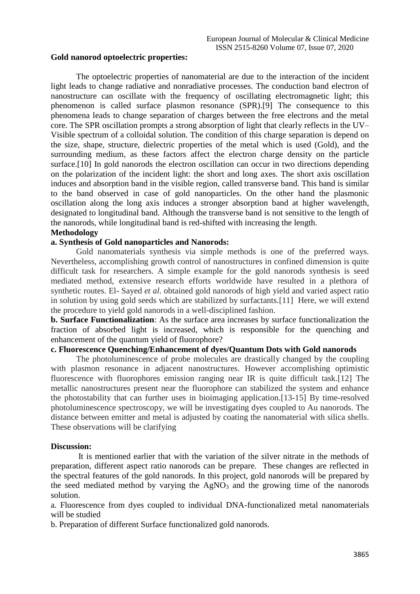#### **Gold nanorod optoelectric properties:**

The optoelectric properties of nanomaterial are due to the interaction of the incident light leads to change radiative and nonradiative processes. The conduction band electron of nanostructure can oscillate with the frequency of oscillating electromagnetic light; this phenomenon is called surface plasmon resonance (SPR).[\[9\]](#page-3-2) The consequence to this phenomena leads to change separation of charges between the free electrons and the metal core. The SPR oscillation prompts a strong absorption of light that clearly reflects in the UV– Visible spectrum of a colloidal solution. The condition of this charge separation is depend on the size, shape, structure, dielectric properties of the metal which is used (Gold), and the surrounding medium, as these factors affect the electron charge density on the particle surface.<sup>[\[10\]](#page-3-3)</sup> In gold nanorods the electron oscillation can occur in two directions depending on the polarization of the incident light: the short and long axes. The short axis oscillation induces and absorption band in the visible region, called transverse band. This band is similar to the band observed in case of gold nanoparticles. On the other hand the plasmonic oscillation along the long axis induces a stronger absorption band at higher wavelength, designated to longitudinal band. Although the transverse band is not sensitive to the length of the nanorods, while longitudinal band is red-shifted with increasing the length.

## **Methodology**

### **a. Synthesis of Gold nanoparticles and Nanorods:**

Gold nanomaterials synthesis via simple methods is one of the preferred ways. Nevertheless, accomplishing growth control of nanostructures in confined dimension is quite difficult task for researchers. A simple example for the gold nanorods synthesis is seed mediated method, extensive research efforts worldwide have resulted in a plethora of synthetic routes. El- Sayed *et al*. obtained gold nanorods of high yield and varied aspect ratio in solution by using gold seeds which are stabilized by surfactants.[\[11\]](#page-3-4) Here, we will extend the procedure to yield gold nanorods in a well-disciplined fashion.

**b. Surface Functionalization**: As the surface area increases by surface functionalization the fraction of absorbed light is increased, which is responsible for the quenching and enhancement of the quantum yield of fluorophore?

## **c. Fluorescence Quenching/Enhancement of dyes/Quantum Dots with Gold nanorods**

The photoluminescence of probe molecules are drastically changed by the coupling with plasmon resonance in adjacent nanostructures. However accomplishing optimistic fluorescence with fluorophores emission ranging near IR is quite difficult task.[\[12\]](#page-3-5) The metallic nanostructures present near the fluorophore can stabilized the system and enhance the photostability that can further uses in bioimaging application.[\[13-15\]](#page-3-6) By time-resolved photoluminescence spectroscopy, we will be investigating dyes coupled to Au nanorods. The distance between emitter and metal is adjusted by coating the nanomaterial with silica shells. These observations will be clarifying

#### **Discussion:**

It is mentioned earlier that with the variation of the silver nitrate in the methods of preparation, different aspect ratio nanorods can be prepare. These changes are reflected in the spectral features of the gold nanorods. In this project, gold nanorods will be prepared by the seed mediated method by varying the  $AgNO<sub>3</sub>$  and the growing time of the nanorods solution.

a. Fluorescence from dyes coupled to individual DNA-functionalized metal nanomaterials will be studied

b. Preparation of different Surface functionalized gold nanorods.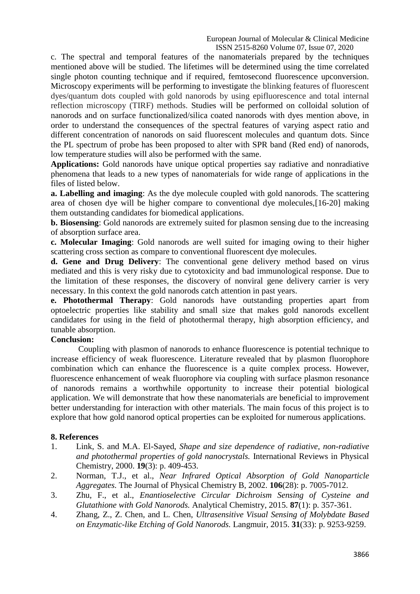c. The spectral and temporal features of the nanomaterials prepared by the techniques mentioned above will be studied. The lifetimes will be determined using the time correlated single photon counting technique and if required, femtosecond fluorescence upconversion. Microscopy experiments will be performing to investigate the blinking features of fluorescent dyes/quantum dots coupled with gold nanorods by using epifluorescence and total internal reflection microscopy (TIRF) methods. Studies will be performed on colloidal solution of nanorods and on surface functionalized/silica coated nanorods with dyes mention above, in order to understand the consequences of the spectral features of varying aspect ratio and different concentration of nanorods on said fluorescent molecules and quantum dots. Since the PL spectrum of probe has been proposed to alter with SPR band (Red end) of nanorods, low temperature studies will also be performed with the same.

**Applications:** Gold nanorods have unique optical properties say radiative and nonradiative phenomena that leads to a new types of nanomaterials for wide range of applications in the files of listed below.

**a. Labelling and imaging**: As the dye molecule coupled with gold nanorods. The scattering area of chosen dye will be higher compare to conventional dye molecules,[\[16-](#page-3-7)20] making them outstanding candidates for biomedical applications.

**b. Biosensing**: Gold nanorods are extremely suited for plasmon sensing due to the increasing of absorption surface area.

**c. Molecular Imaging**: Gold nanorods are well suited for imaging owing to their higher scattering cross section as compare to conventional fluorescent dye molecules.

**d. Gene and Drug Delivery**: The conventional gene delivery method based on virus mediated and this is very risky due to cytotoxicity and bad immunological response. Due to the limitation of these responses, the discovery of nonviral gene delivery carrier is very necessary. In this context the gold nanorods catch attention in past years.

**e. Photothermal Therapy**: Gold nanorods have outstanding properties apart from optoelectric properties like stability and small size that makes gold nanorods excellent candidates for using in the field of photothermal therapy, high absorption efficiency, and tunable absorption.

# **Conclusion:**

Coupling with plasmon of nanorods to enhance fluorescence is potential technique to increase efficiency of weak fluorescence. Literature revealed that by plasmon fluorophore combination which can enhance the fluorescence is a quite complex process. However, fluorescence enhancement of weak fluorophore via coupling with surface plasmon resonance of nanorods remains a worthwhile opportunity to increase their potential biological application. We will demonstrate that how these nanomaterials are beneficial to improvement better understanding for interaction with other materials. The main focus of this project is to explore that how gold nanorod optical properties can be exploited for numerous applications.

## **8. References**

- <span id="page-2-0"></span>1. Link, S. and M.A. El-Sayed, *Shape and size dependence of radiative, non-radiative and photothermal properties of gold nanocrystals.* International Reviews in Physical Chemistry, 2000. **19**(3): p. 409-453.
- <span id="page-2-1"></span>2. Norman, T.J., et al., *Near Infrared Optical Absorption of Gold Nanoparticle Aggregates.* The Journal of Physical Chemistry B, 2002. **106**(28): p. 7005-7012.
- <span id="page-2-2"></span>3. Zhu, F., et al., *Enantioselective Circular Dichroism Sensing of Cysteine and Glutathione with Gold Nanorods.* Analytical Chemistry, 2015. **87**(1): p. 357-361.
- 4. Zhang, Z., Z. Chen, and L. Chen, *Ultrasensitive Visual Sensing of Molybdate Based on Enzymatic-like Etching of Gold Nanorods.* Langmuir, 2015. **31**(33): p. 9253-9259.